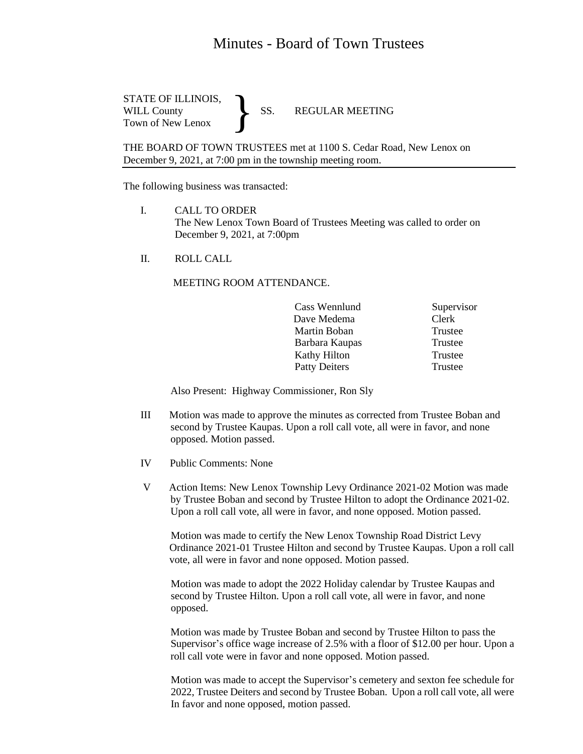## Minutes - Board of Town Trustees

STATE OF ILLINOIS, WILL County SS. REGULAR MEETING Town of New Lenox }

THE BOARD OF TOWN TRUSTEES met at 1100 S. Cedar Road, New Lenox on December 9, 2021, at 7:00 pm in the township meeting room.

The following business was transacted:

- I. CALL TO ORDER The New Lenox Town Board of Trustees Meeting was called to order on December 9, 2021, at 7:00pm
- II. ROLL CALL

## MEETING ROOM ATTENDANCE.

|  | Cass Wennlund        | Supervisor |
|--|----------------------|------------|
|  | Dave Medema          | Clerk      |
|  | Martin Boban         | Trustee    |
|  | Barbara Kaupas       | Trustee    |
|  | Kathy Hilton         | Trustee    |
|  | <b>Patty Deiters</b> | Trustee    |
|  |                      |            |

Also Present: Highway Commissioner, Ron Sly

- III Motion was made to approve the minutes as corrected from Trustee Boban and second by Trustee Kaupas. Upon a roll call vote, all were in favor, and none opposed. Motion passed.
- IV Public Comments: None
- V Action Items: New Lenox Township Levy Ordinance 2021-02 Motion was made by Trustee Boban and second by Trustee Hilton to adopt the Ordinance 2021-02. Upon a roll call vote, all were in favor, and none opposed. Motion passed.

 Motion was made to certify the New Lenox Township Road District Levy Ordinance 2021-01 Trustee Hilton and second by Trustee Kaupas. Upon a roll call vote, all were in favor and none opposed. Motion passed.

 Motion was made to adopt the 2022 Holiday calendar by Trustee Kaupas and second by Trustee Hilton. Upon a roll call vote, all were in favor, and none opposed.

 Motion was made by Trustee Boban and second by Trustee Hilton to pass the Supervisor's office wage increase of 2.5% with a floor of \$12.00 per hour. Upon a roll call vote were in favor and none opposed. Motion passed.

 Motion was made to accept the Supervisor's cemetery and sexton fee schedule for 2022, Trustee Deiters and second by Trustee Boban. Upon a roll call vote, all were In favor and none opposed, motion passed.